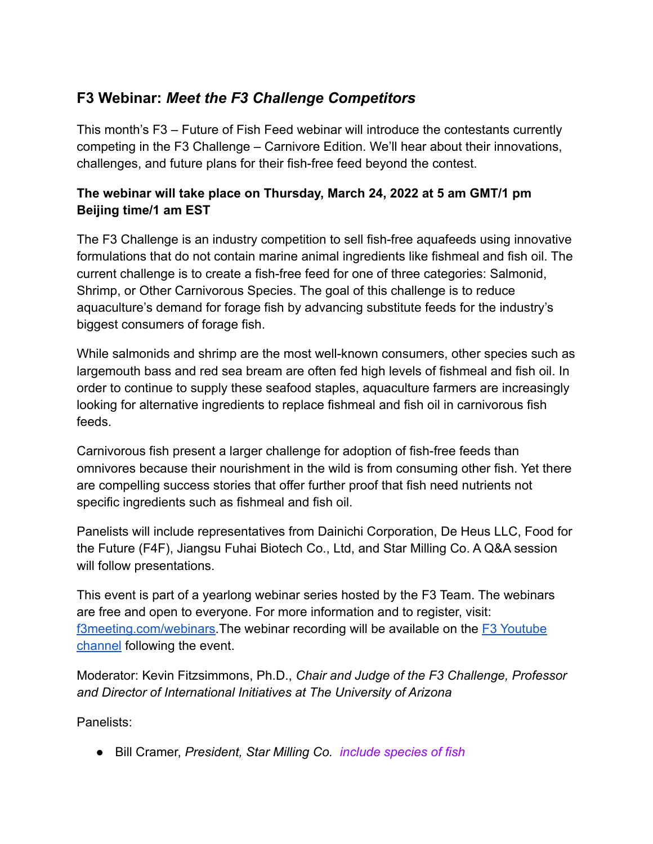## **F3 Webinar:** *Meet the F3 Challenge Competitors*

This month's F3 – Future of Fish Feed webinar will introduce the contestants currently competing in the F3 Challenge – Carnivore Edition. We'll hear about their innovations, challenges, and future plans for their fish-free feed beyond the contest.

## **The webinar will take place on Thursday, March 24, 2022 at 5 am GMT/1 pm Beijing time/1 am EST**

The F3 Challenge is an industry competition to sell fish-free aquafeeds using innovative formulations that do not contain marine animal ingredients like fishmeal and fish oil. The current challenge is to create a fish-free feed for one of three categories: Salmonid, Shrimp, or Other Carnivorous Species. The goal of this challenge is to reduce aquaculture's demand for forage fish by advancing substitute feeds for the industry's biggest consumers of forage fish.

While salmonids and shrimp are the most well-known consumers, other species such as largemouth bass and red sea bream are often fed high levels of fishmeal and fish oil. In order to continue to supply these seafood staples, aquaculture farmers are increasingly looking for alternative ingredients to replace fishmeal and fish oil in carnivorous fish feeds.

Carnivorous fish present a larger challenge for adoption of fish-free feeds than omnivores because their nourishment in the wild is from consuming other fish. Yet there are compelling success stories that offer further proof that fish need nutrients not specific ingredients such as fishmeal and fish oil.

Panelists will include representatives from Dainichi Corporation, De Heus LLC, Food for the Future (F4F), Jiangsu Fuhai Biotech Co., Ltd, and Star Milling Co. A Q&A session will follow presentations.

This event is part of a yearlong webinar series hosted by the F3 Team. The webinars are free and open to everyone. For more information and to register, visit: [f3meeting.com/webinars](https://f3meeting.com/webinars/).The webinar recording will be available on the [F3 Youtube](https://www.youtube.com/channel/UCfHKX8jSU5Rol57suZkTrwA) [channel](https://www.youtube.com/channel/UCfHKX8jSU5Rol57suZkTrwA) following the event.

Moderator: Kevin Fitzsimmons, Ph.D., *Chair and Judge of the F3 Challenge, Professor and Director of International Initiatives at The University of Arizona*

Panelists:

*●* Bill Cramer, *President, Star Milling Co. include species of fish*